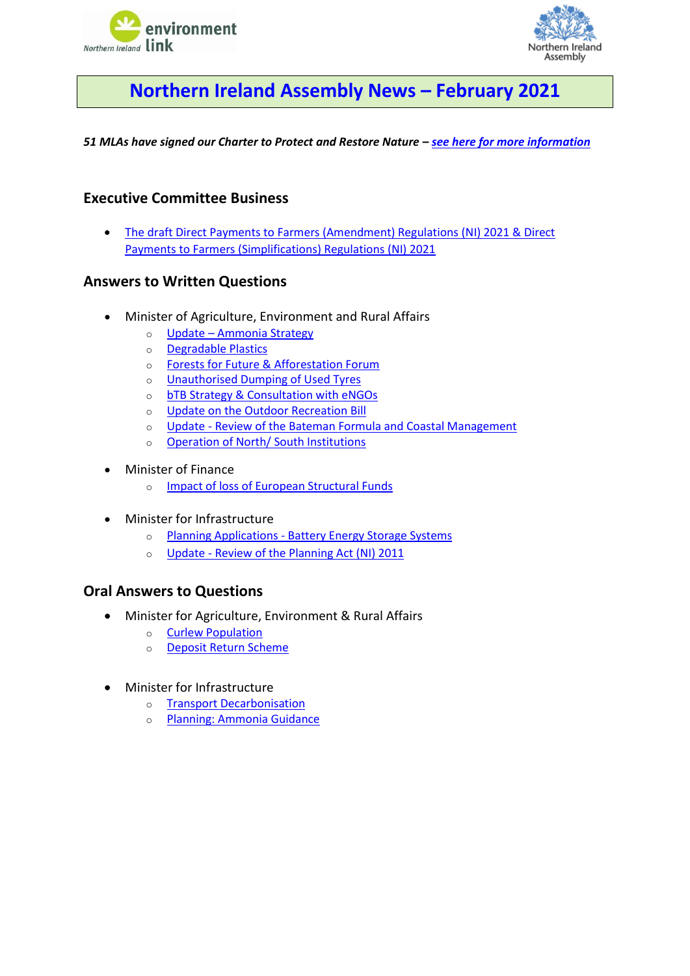



# <span id="page-0-0"></span>**Northern Ireland Assembly News – February 2021**

*51 MLAs have signed our Charter to Protect and Restore Nature – [see here for more information](https://www.nienvironmentlink.org/nature-matters-ni/mla-charter-to-protect-and-restore-nature)*

# **Executive Committee Business**

• [The draft Direct Payments to Farmers \(Amendment\) Regulations \(NI\) 2021](#page-1-0) & Direct [Payments to Farmers \(Simplifications\) Regulations \(NI\) 2021](#page-1-0)

# **Answers to Written Questions**

- Minister of Agriculture, Environment and Rural Affairs
	- o Update [Ammonia Strategy](#page-1-1)
	- o [Degradable Plastics](#page-1-2)
	- o [Forests for Future & Afforestation Forum](#page-2-0)
	- o [Unauthorised Dumping of Used Tyres](#page-2-1)
	- o **[bTB Strategy & Consultation with eNGOs](#page-2-2)**
	- o [Update on the Outdoor Recreation Bill](#page-2-3)
	- o Update [Review of the Bateman Formula and Coastal Management](#page-2-4)
	- o [Operation of North/ South Institutions](#page-3-0)
- Minister of Finance
	- o [Impact of loss of European Structural Funds](#page-3-1)
- Minister for Infrastructure
	- o Planning Applications [Battery Energy Storage Systems](#page-3-2)
	- o Update [Review of the Planning Act \(NI\) 2011](#page-3-3)

# **Oral Answers to Questions**

- Minister for Agriculture, Environment & Rural Affairs
	- o [Curlew Population](#page-4-0)
	- o [Deposit Return Scheme](#page-4-1)
- Minister for Infrastructure
	- o [Transport Decarbonisation](#page-4-2)
	- o [Planning: Ammonia Guidance](#page-4-3)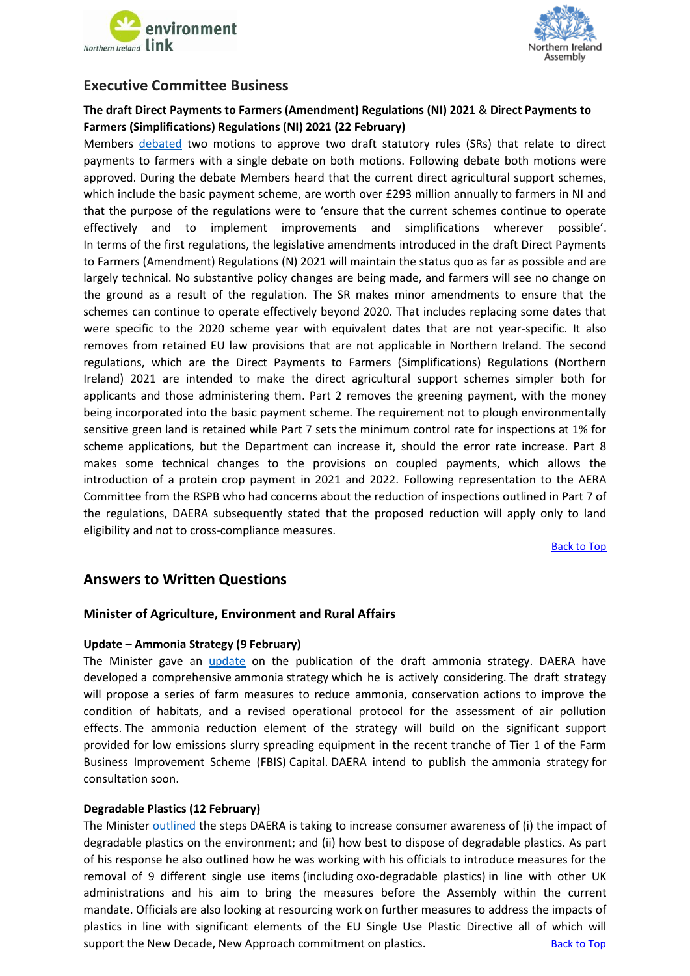



# **Executive Committee Business**

# <span id="page-1-0"></span>**The draft Direct Payments to Farmers (Amendment) Regulations (NI) 2021** & **Direct Payments to Farmers (Simplifications) Regulations (NI) 2021 (22 February)**

Members [debated](http://aims.niassembly.gov.uk/officialreport/report.aspx?&eveDate=2021/02/22&docID=327048#3273257) two motions to approve two draft statutory rules (SRs) that relate to direct payments to farmers with a single debate on both motions. Following debate both motions were approved. During the debate Members heard that the current direct agricultural support schemes, which include the basic payment scheme, are worth over £293 million annually to farmers in NI and that the purpose of the regulations were to 'ensure that the current schemes continue to operate effectively and to implement improvements and simplifications wherever possible'. In terms of the first regulations, the legislative amendments introduced in the draft Direct Payments to Farmers (Amendment) Regulations (N) 2021 will maintain the status quo as far as possible and are largely technical. No substantive policy changes are being made, and farmers will see no change on the ground as a result of the regulation. The SR makes minor amendments to ensure that the schemes can continue to operate effectively beyond 2020. That includes replacing some dates that were specific to the 2020 scheme year with equivalent dates that are not year-specific. It also removes from retained EU law provisions that are not applicable in Northern Ireland. The second regulations, which are the Direct Payments to Farmers (Simplifications) Regulations (Northern Ireland) 2021 are intended to make the direct agricultural support schemes simpler both for applicants and those administering them. Part 2 removes the greening payment, with the money being incorporated into the basic payment scheme. The requirement not to plough environmentally sensitive green land is retained while Part 7 sets the minimum control rate for inspections at 1% for scheme applications, but the Department can increase it, should the error rate increase. Part 8 makes some technical changes to the provisions on coupled payments, which allows the introduction of a protein crop payment in 2021 and 2022. Following representation to the AERA Committee from the RSPB who had concerns about the reduction of inspections outlined in Part 7 of the regulations, DAERA subsequently stated that the proposed reduction will apply only to land eligibility and not to cross-compliance measures.

[Back to Top](#page-0-0)

# **Answers to Written Questions**

# **Minister of Agriculture, Environment and Rural Affairs**

## <span id="page-1-1"></span>**Update – Ammonia Strategy (9 February)**

The Minister gave an [update](http://aims.niassembly.gov.uk/questions/printquestionsummary.aspx?docid=326041) on the publication of the draft ammonia strategy. DAERA have developed a comprehensive ammonia strategy which he is actively considering. The draft strategy will propose a series of farm measures to reduce ammonia, conservation actions to improve the condition of habitats, and a revised operational protocol for the assessment of air pollution effects. The ammonia reduction element of the strategy will build on the significant support provided for low emissions slurry spreading equipment in the recent tranche of Tier 1 of the Farm Business Improvement Scheme (FBIS) Capital. DAERA intend to publish the ammonia strategy for consultation soon.

## <span id="page-1-2"></span>**Degradable Plastics (12 February)**

The Ministe[r outlined](http://aims.niassembly.gov.uk/questions/printquestionsummary.aspx?docid=324836) the steps DAERA is taking to increase consumer awareness of (i) the impact of degradable plastics on the environment; and (ii) how best to dispose of degradable plastics. As part of his response he also outlined how he was working with his officials to introduce measures for the removal of 9 different single use items (including oxo-degradable plastics) in line with other UK administrations and his aim to bring the measures before the Assembly within the current mandate. Officials are also looking at resourcing work on further measures to address the impacts of plastics in line with significant elements of the EU Single Use Plastic Directive all of which will support the New Decade, New Approach commitment on plastics. The [Back to Top](#page-0-0) Back to Top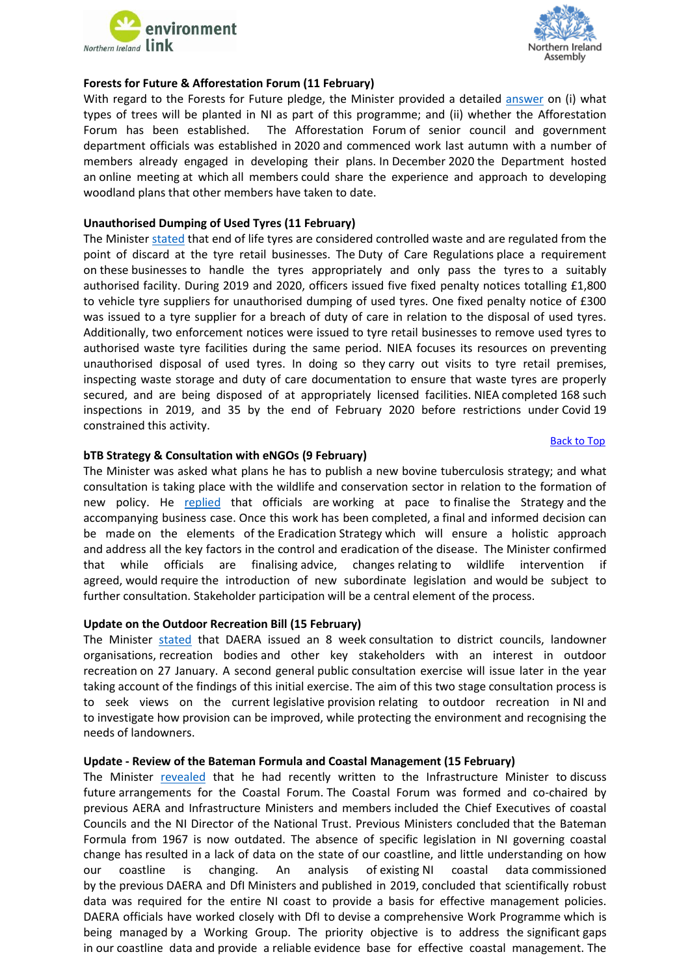



#### <span id="page-2-0"></span>**Forests for Future & Afforestation Forum (11 February)**

With regard to the Forests for Future pledge, the Minister provided a detailed [answer](http://aims.niassembly.gov.uk/questions/printquestionsummary.aspx?docid=324620) on (i) what types of trees will be planted in NI as part of this programme; and (ii) whether the Afforestation Forum has been established. The Afforestation Forum of senior council and government department officials was established in 2020 and commenced work last autumn with a number of members already engaged in developing their plans. In December 2020 the Department hosted an online meeting at which all members could share the experience and approach to developing woodland plans that other members have taken to date.

#### <span id="page-2-1"></span>**Unauthorised Dumping of Used Tyres (11 February)**

The Minister [stated](http://aims.niassembly.gov.uk/questions/printquestionsummary.aspx?docid=324537) that end of life tyres are considered controlled waste and are regulated from the point of discard at the tyre retail businesses. The Duty of Care Regulations place a requirement on these businesses to handle the tyres appropriately and only pass the tyres to a suitably authorised facility. During 2019 and 2020, officers issued five fixed penalty notices totalling £1,800 to vehicle tyre suppliers for unauthorised dumping of used tyres. One fixed penalty notice of £300 was issued to a tyre supplier for a breach of duty of care in relation to the disposal of used tyres. Additionally, two enforcement notices were issued to tyre retail businesses to remove used tyres to authorised waste tyre facilities during the same period. NIEA focuses its resources on preventing unauthorised disposal of used tyres. In doing so they carry out visits to tyre retail premises, inspecting waste storage and duty of care documentation to ensure that waste tyres are properly secured, and are being disposed of at appropriately licensed facilities. NIEA completed 168 such inspections in 2019, and 35 by the end of February 2020 before restrictions under Covid 19 constrained this activity.

#### [Back to Top](#page-0-0)

#### <span id="page-2-2"></span>**bTB Strategy & Consultation with eNGOs (9 February)**

The Minister was asked what plans he has to publish a new bovine tuberculosis strategy; and what consultation is taking place with the wildlife and conservation sector in relation to the formation of new policy. He [replied](http://aims.niassembly.gov.uk/questions/printquestionsummary.aspx?docid=323808) that officials are working at pace to finalise the Strategy and the accompanying business case. Once this work has been completed, a final and informed decision can be made on the elements of the Eradication Strategy which will ensure a holistic approach and address all the key factors in the control and eradication of the disease. The Minister confirmed that while officials are finalising advice, changes relating to wildlife intervention if agreed, would require the introduction of new subordinate legislation and would be subject to further consultation. Stakeholder participation will be a central element of the process.

#### <span id="page-2-3"></span>**Update on the Outdoor Recreation Bill (15 February)**

The Minister [stated](http://aims.niassembly.gov.uk/questions/printquestionsummary.aspx?docid=325314) that DAERA issued an 8 week consultation to district councils, landowner organisations, recreation bodies and other key stakeholders with an interest in outdoor recreation on 27 January. A second general public consultation exercise will issue later in the year taking account of the findings of this initial exercise. The aim of this two stage consultation process is to seek views on the current legislative provision relating to outdoor recreation in NI and to investigate how provision can be improved, while protecting the environment and recognising the needs of landowners.

#### <span id="page-2-4"></span>**Update - Review of the Bateman Formula and Coastal Management (15 February)**

The Minister [revealed](http://aims.niassembly.gov.uk/questions/printquestionsummary.aspx?docid=324958) that he had recently written to the Infrastructure Minister to discuss future arrangements for the Coastal Forum. The Coastal Forum was formed and co-chaired by previous AERA and Infrastructure Ministers and members included the Chief Executives of coastal Councils and the NI Director of the National Trust. Previous Ministers concluded that the Bateman Formula from 1967 is now outdated. The absence of specific legislation in NI governing coastal change has resulted in a lack of data on the state of our coastline, and little understanding on how our coastline is changing. An analysis of existing NI coastal data commissioned by the previous DAERA and DfI Ministers and published in 2019, concluded that scientifically robust data was required for the entire NI coast to provide a basis for effective management policies. DAERA officials have worked closely with DfI to devise a comprehensive Work Programme which is being managed by a Working Group. The priority objective is to address the significant gaps in our coastline data and provide a reliable evidence base for effective coastal management. The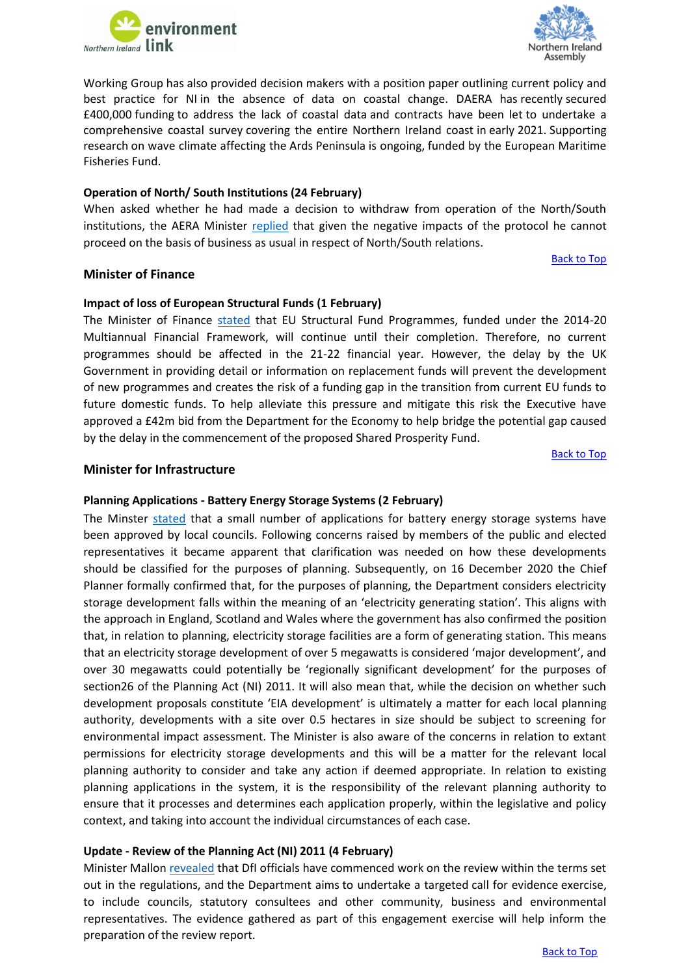



Working Group has also provided decision makers with a position paper outlining current policy and best practice for NI in the absence of data on coastal change. DAERA has recently secured £400,000 funding to address the lack of coastal data and contracts have been let to undertake a comprehensive coastal survey covering the entire Northern Ireland coast in early 2021. Supporting research on wave climate affecting the Ards Peninsula is ongoing, funded by the European Maritime Fisheries Fund.

# <span id="page-3-0"></span>**Operation of North/ South Institutions (24 February)**

When asked whether he had made a decision to withdraw from operation of the North/South institutions, the AERA Minister [replied](http://aims.niassembly.gov.uk/questions/printquestionsummary.aspx?docid=325787) that given the negative impacts of the protocol he cannot proceed on the basis of business as usual in respect of North/South relations.

## **Minister of Finance**

# <span id="page-3-1"></span>**Impact of loss of European Structural Funds (1 February)**

The Minister of Finance [stated](http://aims.niassembly.gov.uk/questions/printquestionsummary.aspx?docid=325525) that EU Structural Fund Programmes, funded under the 2014-20 Multiannual Financial Framework, will continue until their completion. Therefore, no current programmes should be affected in the 21-22 financial year. However, the delay by the UK Government in providing detail or information on replacement funds will prevent the development of new programmes and creates the risk of a funding gap in the transition from current EU funds to future domestic funds. To help alleviate this pressure and mitigate this risk the Executive have approved a £42m bid from the Department for the Economy to help bridge the potential gap caused by the delay in the commencement of the proposed Shared Prosperity Fund.

[Back to Top](#page-0-0)

[Back to Top](#page-0-0)

# **Minister for Infrastructure**

## <span id="page-3-2"></span>**Planning Applications - Battery Energy Storage Systems (2 February)**

The Minster [stated](http://aims.niassembly.gov.uk/questions/printquestionsummary.aspx?docid=325235) that a small number of applications for battery energy storage systems have been approved by local councils. Following concerns raised by members of the public and elected representatives it became apparent that clarification was needed on how these developments should be classified for the purposes of planning. Subsequently, on 16 December 2020 the Chief Planner formally confirmed that, for the purposes of planning, the Department considers electricity storage development falls within the meaning of an 'electricity generating station'. This aligns with the approach in England, Scotland and Wales where the government has also confirmed the position that, in relation to planning, electricity storage facilities are a form of generating station. This means that an electricity storage development of over 5 megawatts is considered 'major development', and over 30 megawatts could potentially be 'regionally significant development' for the purposes of section26 of the Planning Act (NI) 2011. It will also mean that, while the decision on whether such development proposals constitute 'EIA development' is ultimately a matter for each local planning authority, developments with a site over 0.5 hectares in size should be subject to screening for environmental impact assessment. The Minister is also aware of the concerns in relation to extant permissions for electricity storage developments and this will be a matter for the relevant local planning authority to consider and take any action if deemed appropriate. In relation to existing planning applications in the system, it is the responsibility of the relevant planning authority to ensure that it processes and determines each application properly, within the legislative and policy context, and taking into account the individual circumstances of each case.

## <span id="page-3-3"></span>**Update - Review of the Planning Act (NI) 2011 (4 February)**

Minister Mallon [revealed](http://aims.niassembly.gov.uk/questions/printquestionsummary.aspx?docid=323811) that DfI officials have commenced work on the review within the terms set out in the regulations, and the Department aims to undertake a targeted call for evidence exercise, to include councils, statutory consultees and other community, business and environmental representatives. The evidence gathered as part of this engagement exercise will help inform the preparation of the review report.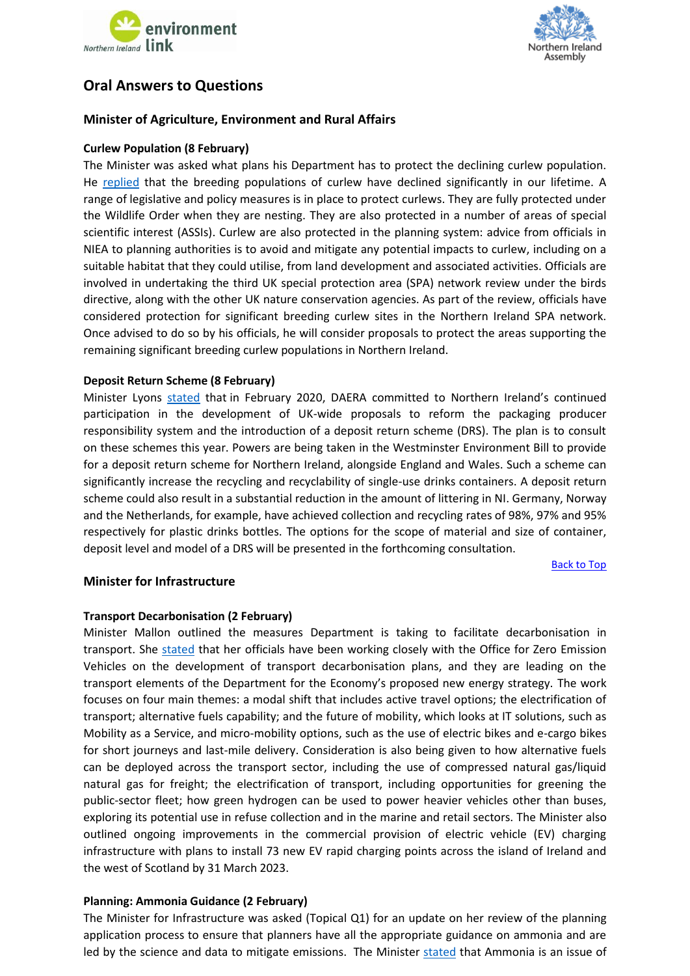



# **Oral Answers to Questions**

# **Minister of Agriculture, Environment and Rural Affairs**

# <span id="page-4-0"></span>**Curlew Population (8 February)**

[The Minister was asked what plans his Department has to protect the declining curlew population.](http://aims.niassembly.gov.uk/questions/oralsearchresults.aspx?&qf=0&qfv=1&ref=AQO%201540/17-22)  He [replied](http://aims.niassembly.gov.uk/officialreport/report.aspx?&eveDate=2021-02-08&docID=325081#AQO%201540/17-22) that the breeding populations of curlew have declined significantly in our lifetime. A range of legislative and policy measures is in place to protect curlews. They are fully protected under the Wildlife Order when they are nesting. They are also protected in a number of areas of special scientific interest (ASSIs). Curlew are also protected in the planning system: advice from officials in NIEA to planning authorities is to avoid and mitigate any potential impacts to curlew, including on a suitable habitat that they could utilise, from land development and associated activities. Officials are involved in undertaking the third UK special protection area (SPA) network review under the birds directive, along with the other UK nature conservation agencies. As part of the review, officials have considered protection for significant breeding curlew sites in the Northern Ireland SPA network. Once advised to do so by his officials, he will consider proposals to protect the areas supporting the remaining significant breeding curlew populations in Northern Ireland.

## <span id="page-4-1"></span>**Deposit Return Scheme (8 February)**

Minister Lyons [stated](http://aims.niassembly.gov.uk/officialreport/report.aspx?&eveDate=2021-02-08&docID=325081#AQO%201541/17-22) that in February 2020, DAERA committed to Northern Ireland's continued participation in the development of UK-wide proposals to reform the packaging producer responsibility system and the introduction of a deposit return scheme (DRS). The plan is to consult on these schemes this year. Powers are being taken in the Westminster Environment Bill to provide for a deposit return scheme for Northern Ireland, alongside England and Wales. Such a scheme can significantly increase the recycling and recyclability of single-use drinks containers. A deposit return scheme could also result in a substantial reduction in the amount of littering in NI. Germany, Norway and the Netherlands, for example, have achieved collection and recycling rates of 98%, 97% and 95% respectively for plastic drinks bottles. The options for the scope of material and size of container, deposit level and model of a DRS will be presented in the forthcoming consultation.

[Back to Top](#page-0-0)

# <span id="page-4-2"></span>**Minister for Infrastructure**

## **Transport Decarbonisation (2 February)**

Minister Mallon outlined the measures Department is taking to facilitate decarbonisation in transport. She [stated](http://aims.niassembly.gov.uk/officialreport/report.aspx?&eveDate=2021-02-02&docID=324097#AQO%201499/17-22) that her officials have been working closely with the Office for Zero Emission Vehicles on the development of transport decarbonisation plans, and they are leading on the transport elements of the Department for the Economy's proposed new energy strategy. The work focuses on four main themes: a modal shift that includes active travel options; the electrification of transport; alternative fuels capability; and the future of mobility, which looks at IT solutions, such as Mobility as a Service, and micro-mobility options, such as the use of electric bikes and e-cargo bikes for short journeys and last-mile delivery. Consideration is also being given to how alternative fuels can be deployed across the transport sector, including the use of compressed natural gas/liquid natural gas for freight; the electrification of transport, including opportunities for greening the public-sector fleet; how green hydrogen can be used to power heavier vehicles other than buses, exploring its potential use in refuse collection and in the marine and retail sectors. The Minister also outlined ongoing improvements in the commercial provision of electric vehicle (EV) charging infrastructure with plans to install 73 new EV rapid charging points across the island of Ireland and the west of Scotland by 31 March 2023.

## <span id="page-4-3"></span>**Planning: Ammonia Guidance (2 February)**

The Minister for Infrastructure was asked (Topical Q1) for an update on her review of the planning application process to ensure that planners have all the appropriate guidance on ammonia and are led by the science and data to mitigate emissions. The Minister [stated](http://aims.niassembly.gov.uk/officialreport/report.aspx?&eveDate=2021-02-02&docID=324097#3246714) that Ammonia is an issue of